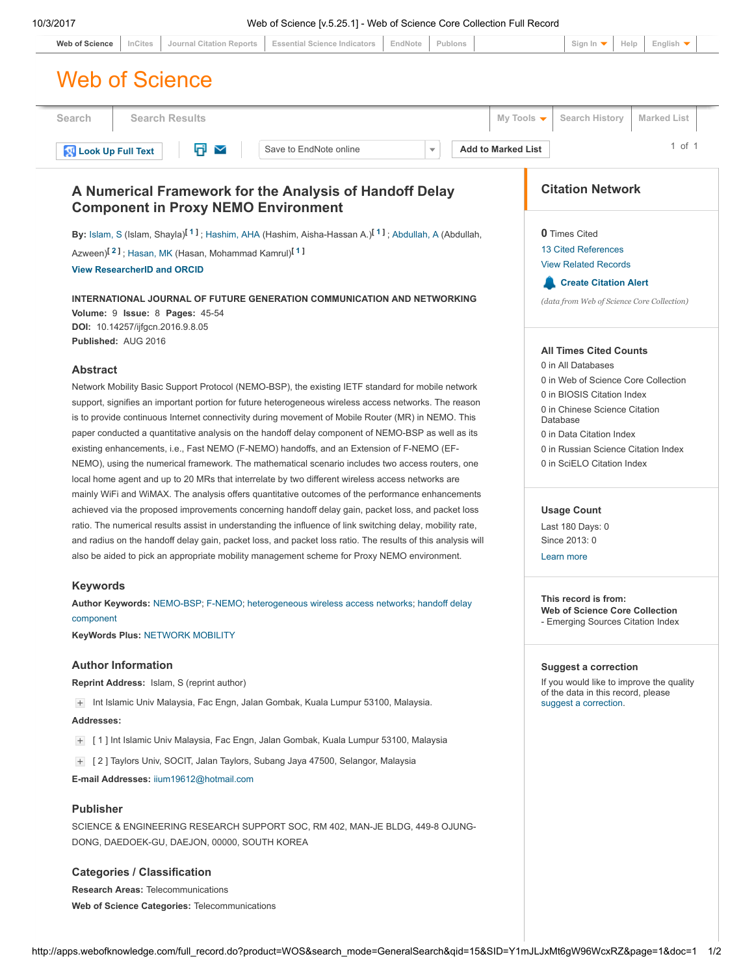| 10/3/2017<br>Web of Science [v.5.25.1] - Web of Science Core Collection Full Record<br><b>Essential Science Indicators</b><br><b>Journal Citation Reports</b><br>EndNote<br>Publons<br>Sign In<br>Help<br>English $\blacktriangledown$<br><b>Web of Science</b><br>InCites<br><b>Web of Science</b> |                                                                              |
|-----------------------------------------------------------------------------------------------------------------------------------------------------------------------------------------------------------------------------------------------------------------------------------------------------|------------------------------------------------------------------------------|
| <b>Search Results</b><br>Search                                                                                                                                                                                                                                                                     | <b>Search History</b><br>My Tools $\blacktriangledown$<br><b>Marked List</b> |
| Q<br>Save to EndNote online<br><b>Add to Marked List</b><br>$\overline{\mathbf{v}}$<br><b>N</b> Look Up Full Text<br>$\checkmark$                                                                                                                                                                   | $1$ of $1$                                                                   |
| A Numerical Framework for the Analysis of Handoff Delay<br><b>Component in Proxy NEMO Environment</b>                                                                                                                                                                                               | <b>Citation Network</b>                                                      |
| By: Islam, S (Islam, Shayla) <sup>[1]</sup> ; Hashim, AHA (Hashim, Aisha-Hassan A.) <sup>[1]</sup> ; Abdullah, A (Abdullah,                                                                                                                                                                         | <b>0</b> Times Cited                                                         |
| Azween) <sup>[2]</sup> ; Hasan, MK (Hasan, Mohammad Kamrul) <sup>[1]</sup>                                                                                                                                                                                                                          | <b>13 Cited References</b>                                                   |
| <b>View ResearcherID and ORCID</b>                                                                                                                                                                                                                                                                  | <b>View Related Records</b>                                                  |
| INTERNATIONAL JOURNAL OF FUTURE GENERATION COMMUNICATION AND NETWORKING<br>Volume: 9 Issue: 8 Pages: 45-54<br>DOI: 10.14257/ijfgcn.2016.9.8.05                                                                                                                                                      | <b>Create Citation Alert</b><br>(data from Web of Science Core Collection)   |
| Published: AUG 2016                                                                                                                                                                                                                                                                                 | <b>All Times Cited Counts</b>                                                |
| <b>Abstract</b>                                                                                                                                                                                                                                                                                     | 0 in All Databases                                                           |
| Network Mobility Basic Support Protocol (NEMO-BSP), the existing IETF standard for mobile network                                                                                                                                                                                                   | 0 in Web of Science Core Collection                                          |
| support, signifies an important portion for future heterogeneous wireless access networks. The reason                                                                                                                                                                                               | 0 in BIOSIS Citation Index                                                   |
| is to provide continuous Internet connectivity during movement of Mobile Router (MR) in NEMO. This                                                                                                                                                                                                  | 0 in Chinese Science Citation<br>Database                                    |
| paper conducted a quantitative analysis on the handoff delay component of NEMO-BSP as well as its                                                                                                                                                                                                   | 0 in Data Citation Index                                                     |
| existing enhancements, i.e., Fast NEMO (F-NEMO) handoffs, and an Extension of F-NEMO (EF-                                                                                                                                                                                                           | 0 in Russian Science Citation Index                                          |
| NEMO), using the numerical framework. The mathematical scenario includes two access routers, one<br>local home agent and up to 20 MRs that interrelate by two different wireless access networks are                                                                                                | 0 in SciELO Citation Index                                                   |
| mainly WiFi and WiMAX. The analysis offers quantitative outcomes of the performance enhancements                                                                                                                                                                                                    |                                                                              |
| achieved via the proposed improvements concerning handoff delay gain, packet loss, and packet loss                                                                                                                                                                                                  | <b>Usage Count</b>                                                           |
| ratio. The numerical results assist in understanding the influence of link switching delay, mobility rate,                                                                                                                                                                                          | Last 180 Days: 0                                                             |
| and radius on the handoff delay gain, packet loss, and packet loss ratio. The results of this analysis will                                                                                                                                                                                         | Since 2013: 0                                                                |
| also be aided to pick an appropriate mobility management scheme for Proxy NEMO environment.                                                                                                                                                                                                         | Learn more                                                                   |
| <b>Keywords</b>                                                                                                                                                                                                                                                                                     |                                                                              |
| Author Keywords: NEMO-BSP; F-NEMO; heterogeneous wireless access networks; handoff delay                                                                                                                                                                                                            | This record is from:                                                         |
| component                                                                                                                                                                                                                                                                                           | <b>Web of Science Core Collection</b><br>- Emerging Sources Citation Index   |
| <b>KeyWords Plus: NETWORK MOBILITY</b>                                                                                                                                                                                                                                                              |                                                                              |
| <b>Author Information</b>                                                                                                                                                                                                                                                                           | <b>Suggest a correction</b>                                                  |
| <b>Reprint Address:</b> Islam, S (reprint author)                                                                                                                                                                                                                                                   | If you would like to improve the quality                                     |
| Int Islamic Univ Malaysia, Fac Engn, Jalan Gombak, Kuala Lumpur 53100, Malaysia.<br>$+$                                                                                                                                                                                                             | of the data in this record, please<br>suggest a correction.                  |
|                                                                                                                                                                                                                                                                                                     |                                                                              |

<span id="page-0-1"></span><span id="page-0-0"></span>E-mail Addresses: [iium19612@hotmail.com](mailto:iium19612@hotmail.com)

## Publisher

SCIENCE & ENGINEERING RESEARCH SUPPORT SOC, RM 402, MAN-JE BLDG, 449-8 OJUNG-DONG, DAEDOEK-GU, DAEJON, 00000, SOUTH KOREA

### Categories / Classification

Research Areas: Telecommunications Web of Science Categories: Telecommunications